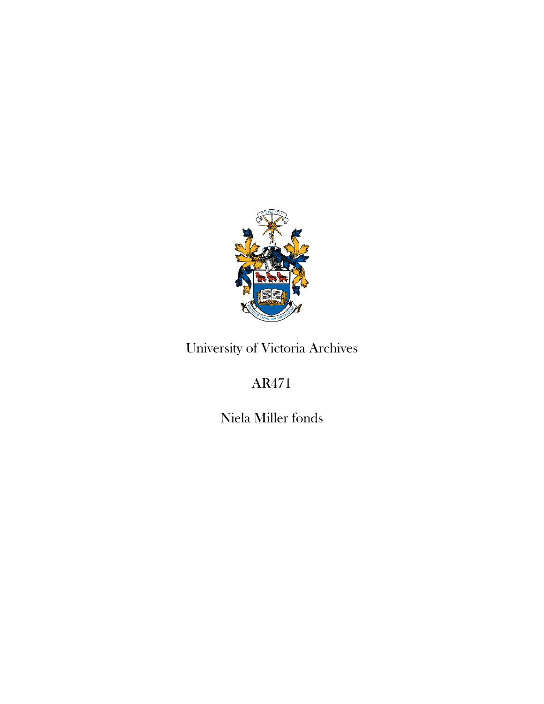

# University of Victoria Archives

# AR471

Niela Miller fonds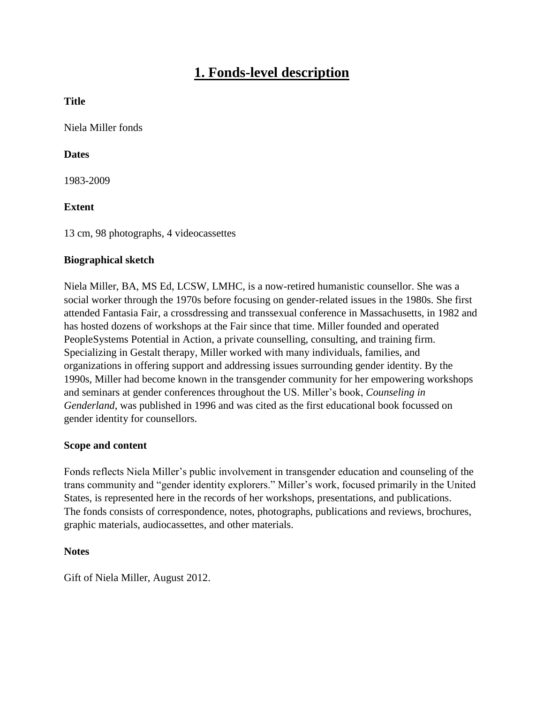## **1. Fonds-level description**

### **Title**

Niela Miller fonds

### **Dates**

1983-2009

### **Extent**

13 cm, 98 photographs, 4 videocassettes

#### **Biographical sketch**

Niela Miller, BA, MS Ed, LCSW, LMHC, is a now-retired humanistic counsellor. She was a social worker through the 1970s before focusing on gender-related issues in the 1980s. She first attended Fantasia Fair, a crossdressing and transsexual conference in Massachusetts, in 1982 and has hosted dozens of workshops at the Fair since that time. Miller founded and operated PeopleSystems Potential in Action, a private counselling, consulting, and training firm. Specializing in Gestalt therapy, Miller worked with many individuals, families, and organizations in offering support and addressing issues surrounding gender identity. By the 1990s, Miller had become known in the transgender community for her empowering workshops and seminars at gender conferences throughout the US. Miller's book, *Counseling in Genderland*, was published in 1996 and was cited as the first educational book focussed on gender identity for counsellors.

#### **Scope and content**

Fonds reflects Niela Miller's public involvement in transgender education and counseling of the trans community and "gender identity explorers." Miller's work, focused primarily in the United States, is represented here in the records of her workshops, presentations, and publications. The fonds consists of correspondence, notes, photographs, publications and reviews, brochures, graphic materials, audiocassettes, and other materials.

### **Notes**

Gift of Niela Miller, August 2012.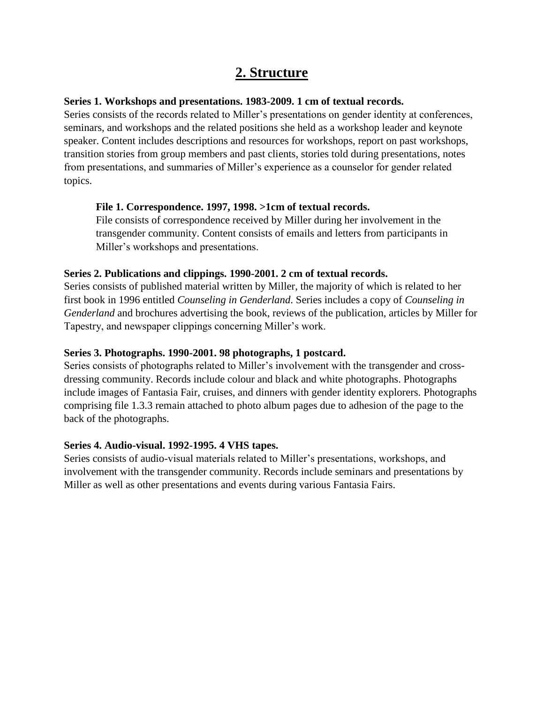## **2. Structure**

### **Series 1. Workshops and presentations. 1983-2009. 1 cm of textual records.**

Series consists of the records related to Miller's presentations on gender identity at conferences, seminars, and workshops and the related positions she held as a workshop leader and keynote speaker. Content includes descriptions and resources for workshops, report on past workshops, transition stories from group members and past clients, stories told during presentations, notes from presentations, and summaries of Miller's experience as a counselor for gender related topics.

### **File 1. Correspondence. 1997, 1998. >1cm of textual records.**

File consists of correspondence received by Miller during her involvement in the transgender community. Content consists of emails and letters from participants in Miller's workshops and presentations.

### **Series 2. Publications and clippings. 1990-2001. 2 cm of textual records.**

Series consists of published material written by Miller, the majority of which is related to her first book in 1996 entitled *Counseling in Genderland*. Series includes a copy of *Counseling in Genderland* and brochures advertising the book, reviews of the publication, articles by Miller for Tapestry, and newspaper clippings concerning Miller's work.

### **Series 3. Photographs. 1990-2001. 98 photographs, 1 postcard.**

Series consists of photographs related to Miller's involvement with the transgender and crossdressing community. Records include colour and black and white photographs. Photographs include images of Fantasia Fair, cruises, and dinners with gender identity explorers. Photographs comprising file 1.3.3 remain attached to photo album pages due to adhesion of the page to the back of the photographs.

### **Series 4. Audio-visual. 1992-1995. 4 VHS tapes.**

Series consists of audio-visual materials related to Miller's presentations, workshops, and involvement with the transgender community. Records include seminars and presentations by Miller as well as other presentations and events during various Fantasia Fairs.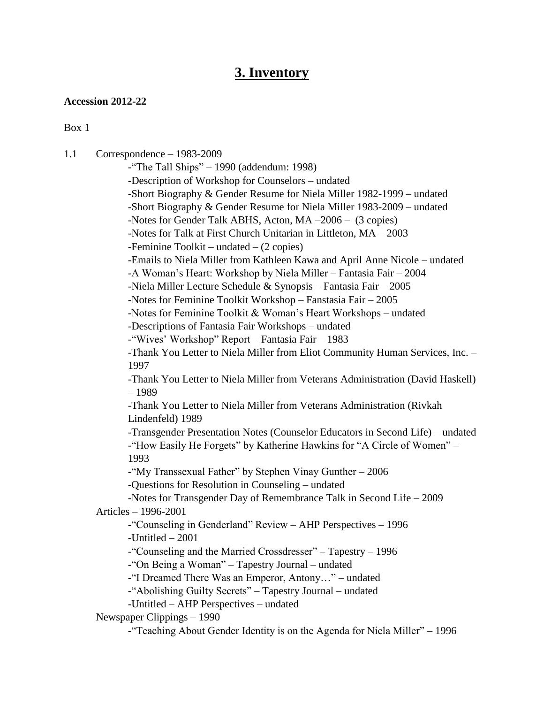### **3. Inventory**

#### **Accession 2012-22**

Box 1

1.1 Correspondence – 1983-2009

-"The Tall Ships" – 1990 (addendum: 1998) -Description of Workshop for Counselors – undated -Short Biography & Gender Resume for Niela Miller 1982-1999 – undated -Short Biography & Gender Resume for Niela Miller 1983-2009 – undated -Notes for Gender Talk ABHS, Acton, MA –2006 – (3 copies) -Notes for Talk at First Church Unitarian in Littleton, MA – 2003 -Feminine Toolkit – undated – (2 copies) -Emails to Niela Miller from Kathleen Kawa and April Anne Nicole – undated -A Woman's Heart: Workshop by Niela Miller – Fantasia Fair – 2004 -Niela Miller Lecture Schedule & Synopsis – Fantasia Fair – 2005 -Notes for Feminine Toolkit Workshop – Fanstasia Fair – 2005 -Notes for Feminine Toolkit & Woman's Heart Workshops – undated -Descriptions of Fantasia Fair Workshops – undated -"Wives' Workshop" Report – Fantasia Fair – 1983 -Thank You Letter to Niela Miller from Eliot Community Human Services, Inc. – 1997 -Thank You Letter to Niela Miller from Veterans Administration (David Haskell) – 1989 -Thank You Letter to Niela Miller from Veterans Administration (Rivkah Lindenfeld) 1989 -Transgender Presentation Notes (Counselor Educators in Second Life) – undated -"How Easily He Forgets" by Katherine Hawkins for "A Circle of Women" – 1993 -"My Transsexual Father" by Stephen Vinay Gunther – 2006 -Questions for Resolution in Counseling – undated -Notes for Transgender Day of Remembrance Talk in Second Life – 2009 Articles – 1996-2001 -"Counseling in Genderland" Review – AHP Perspectives – 1996 -Untitled – 2001 -"Counseling and the Married Crossdresser" – Tapestry – 1996 -"On Being a Woman" – Tapestry Journal – undated -"I Dreamed There Was an Emperor, Antony…" – undated -"Abolishing Guilty Secrets" – Tapestry Journal – undated -Untitled – AHP Perspectives – undated Newspaper Clippings – 1990

-"Teaching About Gender Identity is on the Agenda for Niela Miller" – 1996